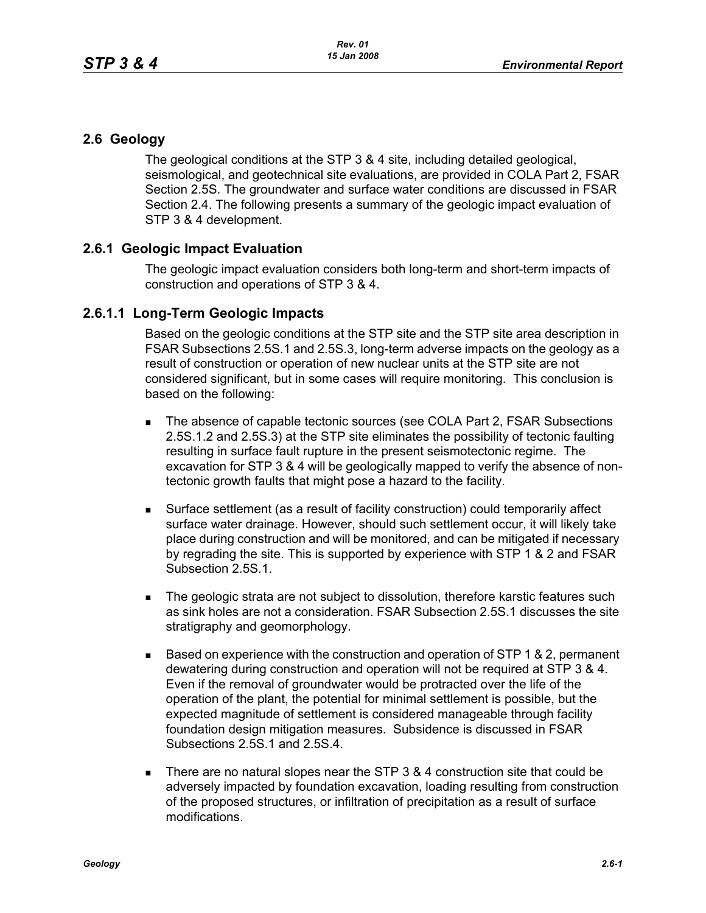## **2.6 Geology**

The geological conditions at the STP 3 & 4 site, including detailed geological, seismological, and geotechnical site evaluations, are provided in COLA Part 2, FSAR Section 2.5S. The groundwater and surface water conditions are discussed in FSAR Section 2.4. The following presents a summary of the geologic impact evaluation of STP 3 & 4 development.

## **2.6.1 Geologic Impact Evaluation**

The geologic impact evaluation considers both long-term and short-term impacts of construction and operations of STP 3 & 4.

## **2.6.1.1 Long-Term Geologic Impacts**

Based on the geologic conditions at the STP site and the STP site area description in FSAR Subsections 2.5S.1 and 2.5S.3, long-term adverse impacts on the geology as a result of construction or operation of new nuclear units at the STP site are not considered significant, but in some cases will require monitoring. This conclusion is based on the following:

- The absence of capable tectonic sources (see COLA Part 2, FSAR Subsections 2.5S.1.2 and 2.5S.3) at the STP site eliminates the possibility of tectonic faulting resulting in surface fault rupture in the present seismotectonic regime. The excavation for STP 3 & 4 will be geologically mapped to verify the absence of nontectonic growth faults that might pose a hazard to the facility.
- Surface settlement (as a result of facility construction) could temporarily affect surface water drainage. However, should such settlement occur, it will likely take place during construction and will be monitored, and can be mitigated if necessary by regrading the site. This is supported by experience with STP 1 & 2 and FSAR Subsection 2.5S.1.
- The geologic strata are not subject to dissolution, therefore karstic features such as sink holes are not a consideration. FSAR Subsection 2.5S.1 discusses the site stratigraphy and geomorphology.
- $\blacksquare$  Based on experience with the construction and operation of STP 1 & 2, permanent dewatering during construction and operation will not be required at STP 3 & 4. Even if the removal of groundwater would be protracted over the life of the operation of the plant, the potential for minimal settlement is possible, but the expected magnitude of settlement is considered manageable through facility foundation design mitigation measures. Subsidence is discussed in FSAR Subsections 2.5S.1 and 2.5S.4.
- There are no natural slopes near the STP  $3.8.4$  construction site that could be adversely impacted by foundation excavation, loading resulting from construction of the proposed structures, or infiltration of precipitation as a result of surface modifications.